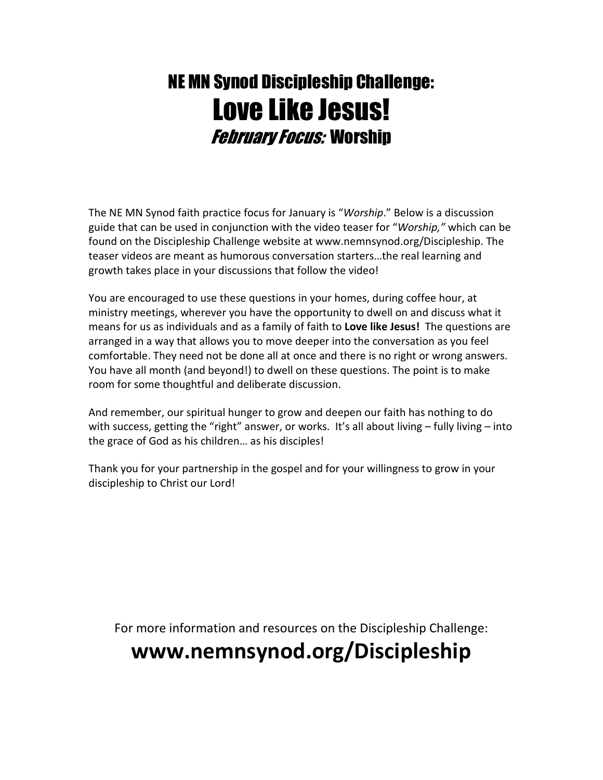## NE MN Synod Discipleship Challenge: Love Like Jesus! February Focus: Worship

The NE MN Synod faith practice focus for January is "Worship." Below is a discussion guide that can be used in conjunction with the video teaser for "Worship," which can be found on the Discipleship Challenge website at www.nemnsynod.org/Discipleship. The teaser videos are meant as humorous conversation starters…the real learning and growth takes place in your discussions that follow the video!

You are encouraged to use these questions in your homes, during coffee hour, at ministry meetings, wherever you have the opportunity to dwell on and discuss what it means for us as individuals and as a family of faith to Love like Jesus! The questions are arranged in a way that allows you to move deeper into the conversation as you feel comfortable. They need not be done all at once and there is no right or wrong answers. You have all month (and beyond!) to dwell on these questions. The point is to make room for some thoughtful and deliberate discussion.

And remember, our spiritual hunger to grow and deepen our faith has nothing to do with success, getting the "right" answer, or works. It's all about living - fully living - into the grace of God as his children… as his disciples!

Thank you for your partnership in the gospel and for your willingness to grow in your discipleship to Christ our Lord!

For more information and resources on the Discipleship Challenge:

## www.nemnsynod.org/Discipleship